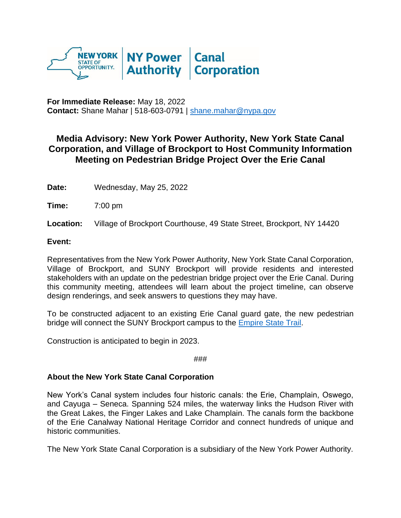

**For Immediate Release:** May 18, 2022 **Contact:** Shane Mahar | 518-603-0791 | [shane.mahar@nypa.gov](mailto:shane.mahar@nypa.gov)

## **Media Advisory: New York Power Authority, New York State Canal Corporation, and Village of Brockport to Host Community Information Meeting on Pedestrian Bridge Project Over the Erie Canal**

**Date:** Wednesday, May 25, 2022

**Time:** 7:00 pm

**Location:** Village of Brockport Courthouse, 49 State Street, Brockport, NY 14420

## **Event:**

Representatives from the New York Power Authority, New York State Canal Corporation, Village of Brockport, and SUNY Brockport will provide residents and interested stakeholders with an update on the pedestrian bridge project over the Erie Canal. During this community meeting, attendees will learn about the project timeline, can observe design renderings, and seek answers to questions they may have.

To be constructed adjacent to an existing Erie Canal guard gate, the new pedestrian bridge will connect the SUNY Brockport campus to the [Empire State Trail.](https://urldefense.proofpoint.com/v2/url?u=https-3A__empiretrail.ny.gov_&d=DwMFaQ&c=7ytEQYGYryRPQxlWLDrn2g&r=BPbb8pwi4PwNzbfIa5i71LkJBS4nRNmlzfkbSKap9qg&m=hYcV5Tx_SLSMvf-JNQ9PWxvZm5_XjK55quMF2LfhD78&s=gY0vSH4nlBcaPGYV92WvlUXweJKln0YeW1oi6nEKgXI&e=)

Construction is anticipated to begin in 2023.

###

## **About the New York State Canal Corporation**

New York's Canal system includes four historic canals: the Erie, Champlain, Oswego, and Cayuga – Seneca. Spanning 524 miles, the waterway links the Hudson River with the Great Lakes, the Finger Lakes and Lake Champlain. The canals form the backbone of the Erie Canalway National Heritage Corridor and connect hundreds of unique and historic communities.

The New York State Canal Corporation is a subsidiary of the New York Power Authority.